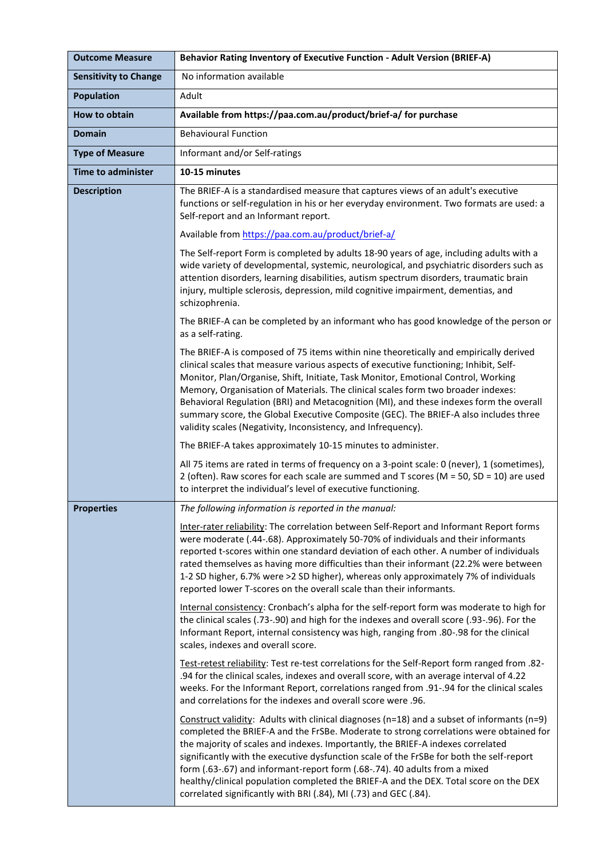| <b>Outcome Measure</b>       | Behavior Rating Inventory of Executive Function - Adult Version (BRIEF-A)                                                                                                                                                                                                                                                                                                                                                                                                                                                                                                                                              |
|------------------------------|------------------------------------------------------------------------------------------------------------------------------------------------------------------------------------------------------------------------------------------------------------------------------------------------------------------------------------------------------------------------------------------------------------------------------------------------------------------------------------------------------------------------------------------------------------------------------------------------------------------------|
| <b>Sensitivity to Change</b> | No information available                                                                                                                                                                                                                                                                                                                                                                                                                                                                                                                                                                                               |
| <b>Population</b>            | Adult                                                                                                                                                                                                                                                                                                                                                                                                                                                                                                                                                                                                                  |
| <b>How to obtain</b>         | Available from https://paa.com.au/product/brief-a/ for purchase                                                                                                                                                                                                                                                                                                                                                                                                                                                                                                                                                        |
| <b>Domain</b>                | <b>Behavioural Function</b>                                                                                                                                                                                                                                                                                                                                                                                                                                                                                                                                                                                            |
| <b>Type of Measure</b>       | Informant and/or Self-ratings                                                                                                                                                                                                                                                                                                                                                                                                                                                                                                                                                                                          |
| <b>Time to administer</b>    | 10-15 minutes                                                                                                                                                                                                                                                                                                                                                                                                                                                                                                                                                                                                          |
| <b>Description</b>           | The BRIEF-A is a standardised measure that captures views of an adult's executive<br>functions or self-regulation in his or her everyday environment. Two formats are used: a<br>Self-report and an Informant report.                                                                                                                                                                                                                                                                                                                                                                                                  |
|                              | Available from https://paa.com.au/product/brief-a/                                                                                                                                                                                                                                                                                                                                                                                                                                                                                                                                                                     |
|                              | The Self-report Form is completed by adults 18-90 years of age, including adults with a<br>wide variety of developmental, systemic, neurological, and psychiatric disorders such as<br>attention disorders, learning disabilities, autism spectrum disorders, traumatic brain<br>injury, multiple sclerosis, depression, mild cognitive impairment, dementias, and<br>schizophrenia.                                                                                                                                                                                                                                   |
|                              | The BRIEF-A can be completed by an informant who has good knowledge of the person or<br>as a self-rating.                                                                                                                                                                                                                                                                                                                                                                                                                                                                                                              |
|                              | The BRIEF-A is composed of 75 items within nine theoretically and empirically derived<br>clinical scales that measure various aspects of executive functioning; Inhibit, Self-<br>Monitor, Plan/Organise, Shift, Initiate, Task Monitor, Emotional Control, Working<br>Memory, Organisation of Materials. The clinical scales form two broader indexes:<br>Behavioral Regulation (BRI) and Metacognition (MI), and these indexes form the overall<br>summary score, the Global Executive Composite (GEC). The BRIEF-A also includes three<br>validity scales (Negativity, Inconsistency, and Infrequency).             |
|                              | The BRIEF-A takes approximately 10-15 minutes to administer.                                                                                                                                                                                                                                                                                                                                                                                                                                                                                                                                                           |
|                              | All 75 items are rated in terms of frequency on a 3-point scale: 0 (never), 1 (sometimes),<br>2 (often). Raw scores for each scale are summed and T scores (M = 50, SD = 10) are used<br>to interpret the individual's level of executive functioning.                                                                                                                                                                                                                                                                                                                                                                 |
| Properties                   | The following information is reported in the manual:                                                                                                                                                                                                                                                                                                                                                                                                                                                                                                                                                                   |
|                              | Inter-rater reliability: The correlation between Self-Report and Informant Report forms<br>were moderate (.44-.68). Approximately 50-70% of individuals and their informants<br>reported t-scores within one standard deviation of each other. A number of individuals<br>rated themselves as having more difficulties than their informant (22.2% were between<br>1-2 SD higher, 6.7% were >2 SD higher), whereas only approximately 7% of individuals<br>reported lower T-scores on the overall scale than their informants.                                                                                         |
|                              | Internal consistency: Cronbach's alpha for the self-report form was moderate to high for<br>the clinical scales (.73-.90) and high for the indexes and overall score (.93-.96). For the<br>Informant Report, internal consistency was high, ranging from .80-.98 for the clinical<br>scales, indexes and overall score.                                                                                                                                                                                                                                                                                                |
|                              | -82. Test-retest reliability: Test re-test correlations for the Self-Report form ranged from<br>.94 for the clinical scales, indexes and overall score, with an average interval of 4.22<br>weeks. For the Informant Report, correlations ranged from .91-.94 for the clinical scales<br>and correlations for the indexes and overall score were .96.                                                                                                                                                                                                                                                                  |
|                              | Construct validity: Adults with clinical diagnoses ( $n=18$ ) and a subset of informants ( $n=9$ )<br>completed the BRIEF-A and the FrSBe. Moderate to strong correlations were obtained for<br>the majority of scales and indexes. Importantly, the BRIEF-A indexes correlated<br>significantly with the executive dysfunction scale of the FrSBe for both the self-report<br>form (.63-.67) and informant-report form (.68-.74). 40 adults from a mixed<br>healthy/clinical population completed the BRIEF-A and the DEX. Total score on the DEX<br>correlated significantly with BRI (.84), MI (.73) and GEC (.84). |